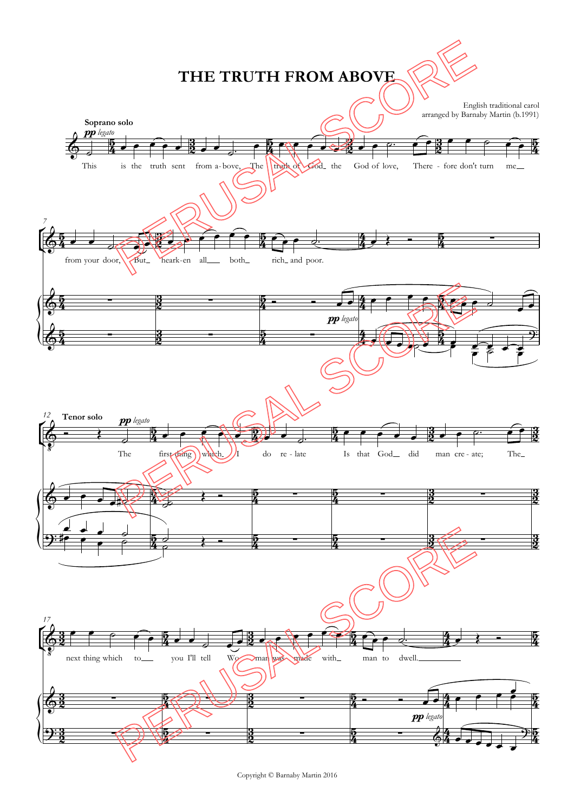

Copyright © Barnaby Martin 2016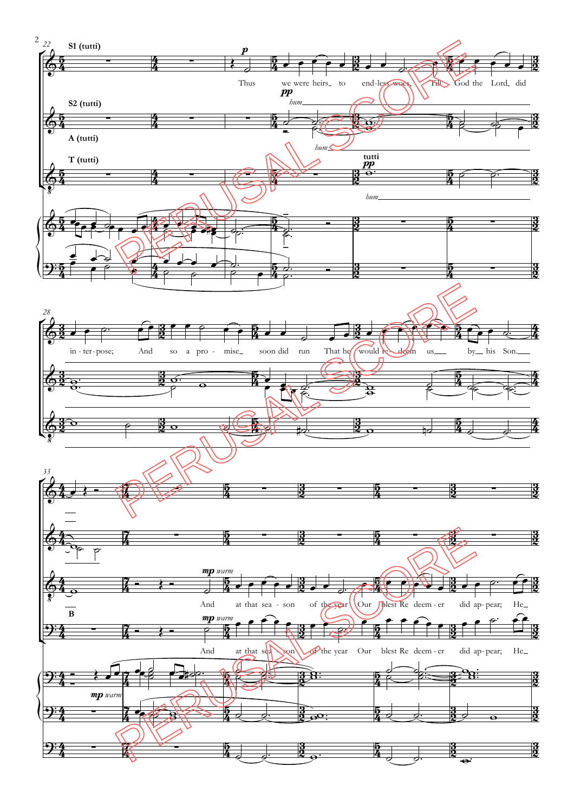